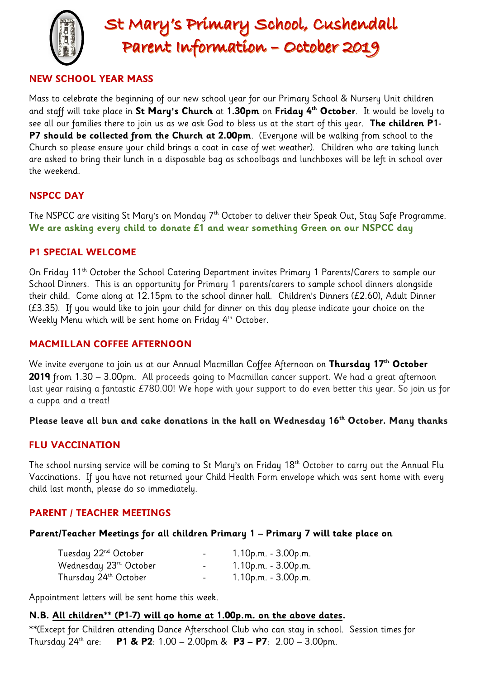

# **NEW SCHOOL YEAR MASS**

Mass to celebrate the beginning of our new school year for our Primary School & Nursery Unit children and staff will take place in **St Mary's Church** at **1.30pm** on **Friday 4th October**.It would be lovely to see all our families there to join us as we ask God to bless us at the start of this year. **The children P1- P7 should be collected from the Church at 2.00pm**. (Everyone will be walking from school to the Church so please ensure your child brings a coat in case of wet weather). Children who are taking lunch are asked to bring their lunch in a disposable bag as schoolbags and lunchboxes will be left in school over the weekend.

# **NSPCC DAY**

The NSPCC are visiting St Mary's on Monday 7<sup>th</sup> October to deliver their Speak Out, Stay Safe Programme. **We are asking every child to donate £1 and wear something Green on our NSPCC day** 

## **P1 SPECIAL WELCOME**

On Friday 11th October the School Catering Department invites Primary 1 Parents/Carers to sample our School Dinners. This is an opportunity for Primary 1 parents/carers to sample school dinners alongside their child. Come along at 12.15pm to the school dinner hall. Children's Dinners (£2.60), Adult Dinner (£3.35). If you would like to join your child for dinner on this day please indicate your choice on the Weekly Menu which will be sent home on Friday 4<sup>th</sup> October.

### **MACMILLAN COFFEE AFTERNOON**

We invite everyone to join us at our Annual Macmillan Coffee Afternoon on **Thursday 17th October 2019** from 1.30 – 3.00pm. All proceeds going to Macmillan cancer support. We had a great afternoon last year raising a fantastic £780.00! We hope with your support to do even better this year. So join us for a cuppa and a treat!

### **Please leave all bun and cake donations in the hall on Wednesday 16th October. Many thanks**

## **FLU VACCINATION**

The school nursing service will be coming to St Mary's on Friday 18<sup>th</sup> October to carry out the Annual Flu Vaccinations. If you have not returned your Child Health Form envelope which was sent home with every child last month, please do so immediately.

## **PARENT / TEACHER MEETINGS**

#### **Parent/Teacher Meetings for all children Primary 1 – Primary 7 will take place on**

| Tuesday 22 <sup>nd</sup> October  | $\overline{\phantom{a}}$ | $1.10$ p.m. - $3.00$ p.m. |
|-----------------------------------|--------------------------|---------------------------|
| Wednesday 23rd October            | $\blacksquare$           | $1.10$ p.m. - $3.00$ p.m. |
| Thursday 24 <sup>th</sup> October | $\blacksquare$           | $1.10$ p.m. - $3.00$ p.m. |

Appointment letters will be sent home this week.

#### **N.B. All children\*\* (P1-7) will go home at 1.00p.m. on the above dates.**

\*\*(Except for Children attending Dance Afterschool Club who can stay in school. Session times for Thursday 24th are: **P1 & P2**: 1.00 – 2.00pm & **P3 – P7**: 2.00 – 3.00pm.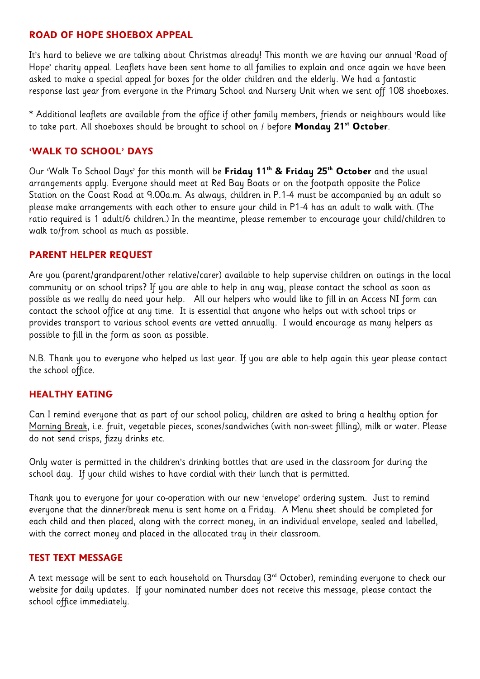#### **ROAD OF HOPE SHOEBOX APPEAL**

It's hard to believe we are talking about Christmas already! This month we are having our annual 'Road of Hope' charity appeal. Leaflets have been sent home to all families to explain and once again we have been asked to make a special appeal for boxes for the older children and the elderly. We had a fantastic response last year from everyone in the Primary School and Nursery Unit when we sent off 108 shoeboxes.

\* Additional leaflets are available from the office if other family members, friends or neighbours would like to take part. All shoeboxes should be brought to school on / before **Monday 21st October**.

### **'WALK TO SCHOOL' DAYS**

Our 'Walk To School Days' for this month will be **Friday 11th & Friday 25th October** and the usual arrangements apply. Everyone should meet at Red Bay Boats or on the footpath opposite the Police Station on the Coast Road at 9.00a.m. As always, children in P.1-4 must be accompanied by an adult so please make arrangements with each other to ensure your child in P1-4 has an adult to walk with. (The ratio required is 1 adult/6 children.) In the meantime, please remember to encourage your child/children to walk to/from school as much as possible.

### **PARENT HELPER REQUEST**

Are you (parent/grandparent/other relative/carer) available to help supervise children on outings in the local community or on school trips? If you are able to help in any way, please contact the school as soon as possible as we really do need your help. All our helpers who would like to fill in an Access NI form can contact the school office at any time. It is essential that anyone who helps out with school trips or provides transport to various school events are vetted annually. I would encourage as many helpers as possible to fill in the form as soon as possible.

N.B. Thank you to everyone who helped us last year. If you are able to help again this year please contact the school office.

## **HEALTHY EATING**

Can I remind everyone that as part of our school policy, children are asked to bring a healthy option for Morning Break, i.e. fruit, vegetable pieces, scones/sandwiches (with non-sweet filling), milk or water. Please do not send crisps, fizzy drinks etc.

Only water is permitted in the children's drinking bottles that are used in the classroom for during the school day. If your child wishes to have cordial with their lunch that is permitted.

Thank you to everyone for your co-operation with our new 'envelope' ordering system. Just to remind everyone that the dinner/break menu is sent home on a Friday. A Menu sheet should be completed for each child and then placed, along with the correct money, in an individual envelope, sealed and labelled, with the correct money and placed in the allocated tray in their classroom.

#### **TEST TEXT MESSAGE**

A text message will be sent to each household on Thursday (3rd October), reminding everyone to check our website for daily updates. If your nominated number does not receive this message, please contact the school office immediately.